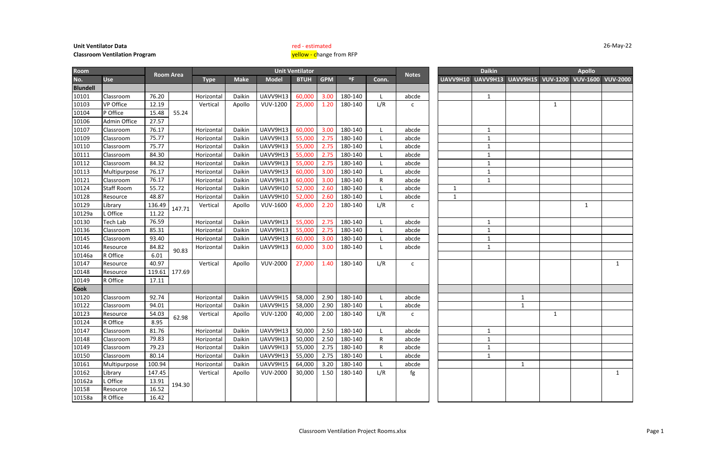| <b>Room</b>     |                     |        |                  |             |             |                 | <b>Unit Ventilator</b> |            |              |             |              |              | <b>Daikin</b> |                                   |              | <b>Apollo</b>   |                 |
|-----------------|---------------------|--------|------------------|-------------|-------------|-----------------|------------------------|------------|--------------|-------------|--------------|--------------|---------------|-----------------------------------|--------------|-----------------|-----------------|
| No.             | <b>Use</b>          |        | <b>Room Area</b> | <b>Type</b> | <b>Make</b> | <b>Model</b>    | <b>BTUH</b>            | <b>GPM</b> | $^{\circ}$ F | Conn.       | <b>Notes</b> | UAVV9H10     |               | <b>UAVV9H13 UAVV9H15 VUV-1200</b> |              | <b>VUV-1600</b> | <b>VUV-2000</b> |
| <b>Blundell</b> |                     |        |                  |             |             |                 |                        |            |              |             |              |              |               |                                   |              |                 |                 |
| 10101           | Classroom           | 76.20  |                  | Horizontal  | Daikin      | UAVV9H13        | 60,000                 | 3.00       | 180-140      | L.          | abcde        |              | $\mathbf{1}$  |                                   |              |                 |                 |
| 10103           | <b>VP Office</b>    | 12.19  |                  | Vertical    | Apollo      | <b>VUV-1200</b> | 25,000                 | 1.20       | 180-140      | L/R         | C            |              |               |                                   | $\mathbf{1}$ |                 |                 |
| 10104           | P Office            | 15.48  | 55.24            |             |             |                 |                        |            |              |             |              |              |               |                                   |              |                 |                 |
| 10106           | <b>Admin Office</b> | 27.57  |                  |             |             |                 |                        |            |              |             |              |              |               |                                   |              |                 |                 |
| 10107           | Classroom           | 76.17  |                  | Horizontal  | Daikin      | UAVV9H13        | 60,000                 | 3.00       | 180-140      |             | abcde        |              | $\mathbf{1}$  |                                   |              |                 |                 |
| 10109           | Classroom           | 75.77  |                  | Horizontal  | Daikin      | UAVV9H13        | 55,000                 | 2.75       | 180-140      |             | abcde        |              | $\mathbf{1}$  |                                   |              |                 |                 |
| 10110           | Classroom           | 75.77  |                  | Horizontal  | Daikin      | UAVV9H13        | 55,000                 | 2.75       | 180-140      |             | abcde        |              | $\mathbf{1}$  |                                   |              |                 |                 |
| 10111           | Classroom           | 84.30  |                  | Horizontal  | Daikin      | UAVV9H13        | 55,000                 | 2.75       | 180-140      |             | abcde        |              | -1            |                                   |              |                 |                 |
| 10112           | Classroom           | 84.32  |                  | Horizontal  | Daikin      | UAVV9H13        | 55,000                 | 2.75       | 180-140      |             | abcde        |              | 1             |                                   |              |                 |                 |
| 10113           | Multipurpose        | 76.17  |                  | Horizontal  | Daikin      | UAVV9H13        | 60,000                 | 3.00       | 180-140      |             | abcde        |              | $\mathbf{1}$  |                                   |              |                 |                 |
| 10121           | Classroom           | 76.17  |                  | Horizontal  | Daikin      | UAVV9H13        | 60,000                 | 3.00       | 180-140      | $\mathsf R$ | abcde        |              | 1             |                                   |              |                 |                 |
| 10124           | <b>Staff Room</b>   | 55.72  |                  | Horizontal  | Daikin      | UAVV9H10        | 52,000                 | 2.60       | 180-140      |             | abcde        | $\mathbf{1}$ |               |                                   |              |                 |                 |
| 10128           | Resource            | 48.87  |                  | Horizontal  | Daikin      | UAVV9H10        | 52,000                 | 2.60       | 180-140      |             | abcde        | $\mathbf{1}$ |               |                                   |              |                 |                 |
| 10129           | ibrary              | 136.49 | 147.71           | Vertical    | Apollo      | <b>VUV-1600</b> | 45,000                 | 2.20       | 180-140      | L/R         | C            |              |               |                                   |              | 1               |                 |
| 10129a          | L Office            | 11.22  |                  |             |             |                 |                        |            |              |             |              |              |               |                                   |              |                 |                 |
| 10130           | Tech Lab            | 76.59  |                  | Horizontal  | Daikin      | UAVV9H13        | 55,000                 | 2.75       | 180-140      |             | abcde        |              | 1             |                                   |              |                 |                 |
| 10136           | Classroom           | 85.31  |                  | Horizontal  | Daikin      | UAVV9H13        | 55,000                 | 2.75       | 180-140      |             | abcde        |              | $\mathbf{1}$  |                                   |              |                 |                 |
| 10145           | Classroom           | 93.40  |                  | Horizontal  | Daikin      | UAVV9H13        | 60,000                 | 3.00       | 180-140      |             | abcde        |              | $\mathbf{1}$  |                                   |              |                 |                 |
| 10146           | Resource            | 84.82  | 90.83            | Horizontal  | Daikin      | UAVV9H13        | 60,000                 | 3.00       | 180-140      | L.          | abcde        |              | 1             |                                   |              |                 |                 |
| 10146a          | R Office            | 6.01   |                  |             |             |                 |                        |            |              |             |              |              |               |                                   |              |                 |                 |
| 10147           | Resource            | 40.97  |                  | Vertical    | Apollo      | <b>VUV-2000</b> | 27,000                 | 1.40       | 180-140      | L/R         | $\mathsf{C}$ |              |               |                                   |              |                 | 1               |
| 10148           | Resource            | 119.61 | 177.69           |             |             |                 |                        |            |              |             |              |              |               |                                   |              |                 |                 |
| 10149           | R Office            | 17.11  |                  |             |             |                 |                        |            |              |             |              |              |               |                                   |              |                 |                 |
| <b>Cook</b>     |                     |        |                  |             |             |                 |                        |            |              |             |              |              |               |                                   |              |                 |                 |
| 10120           | Classroom           | 92.74  |                  | Horizontal  | Daikin      | UAVV9H15        | 58,000                 | 2.90       | 180-140      |             | abcde        |              |               | $\mathbf{1}$                      |              |                 |                 |
| 10122           | Classroom           | 94.01  |                  | Horizontal  | Daikin      | UAVV9H15        | 58,000                 | 2.90       | 180-140      |             | abcde        |              |               | $\mathbf{1}$                      |              |                 |                 |
| 10123           | Resource            | 54.03  | 62.98            | Vertical    | Apollo      | <b>VUV-1200</b> | 40,000                 | 2.00       | 180-140      | L/R         | C            |              |               |                                   | $\mathbf{1}$ |                 |                 |
| 10124           | R Office            | 8.95   |                  |             |             |                 |                        |            |              |             |              |              |               |                                   |              |                 |                 |
| 10147           | Classroom           | 81.76  |                  | Horizontal  | Daikin      | UAVV9H13        | 50,000                 | 2.50       | 180-140      |             | abcde        |              | 1             |                                   |              |                 |                 |
| 10148           | Classroom           | 79.83  |                  | Horizontal  | Daikin      | UAVV9H13        | 50,000                 | 2.50       | 180-140      | ${\sf R}$   | abcde        |              | $\mathbf{1}$  |                                   |              |                 |                 |
| 10149           | Classroom           | 79.23  |                  | Horizontal  | Daikin      | UAVV9H13        | 55,000                 | 2.75       | 180-140      | R           | abcde        |              | $\mathbf{1}$  |                                   |              |                 |                 |
| 10150           | Classroom           | 80.14  |                  | Horizontal  | Daikin      | UAVV9H13        | 55,000                 | 2.75       | 180-140      |             | abcde        |              | $\mathbf{1}$  |                                   |              |                 |                 |
| 10161           | Multipurpose        | 100.94 |                  | Horizontal  | Daikin      | UAVV9H15        | 64,000                 | 3.20       | 180-140      |             | abcde        |              |               | $\mathbf{1}$                      |              |                 |                 |
| 10162           | Library             | 147.45 |                  | Vertical    | Apollo      | <b>VUV-2000</b> | 30,000                 | 1.50       | 180-140      | L/R         | fg           |              |               |                                   |              |                 | $\mathbf{1}$    |
| 10162a          | L Office            | 13.91  | 194.30           |             |             |                 |                        |            |              |             |              |              |               |                                   |              |                 |                 |
| 10158           | Resource            | 16.52  |                  |             |             |                 |                        |            |              |             |              |              |               |                                   |              |                 |                 |
| 10158a          | R Office            | 16.42  |                  |             |             |                 |                        |            |              |             |              |              |               |                                   |              |                 |                 |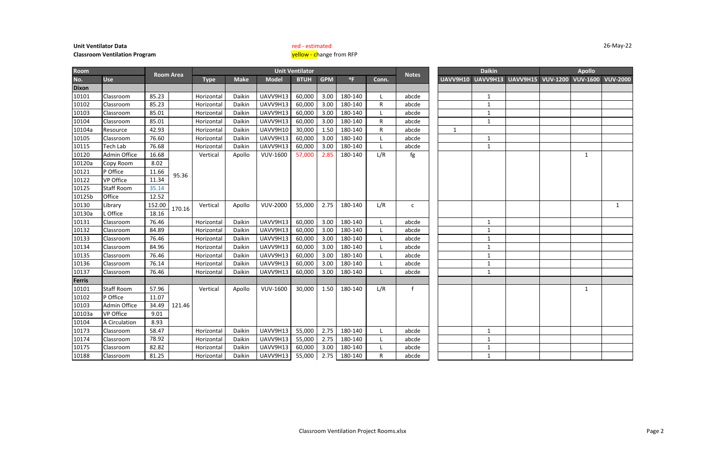| Room         |                     |        |                  |             |             |                 | <b>Unit Ventilator</b> |            |              |              |              |              | <b>Daikin</b> |                                                       | <b>Apollo</b> |   |
|--------------|---------------------|--------|------------------|-------------|-------------|-----------------|------------------------|------------|--------------|--------------|--------------|--------------|---------------|-------------------------------------------------------|---------------|---|
| No.          | <b>Use</b>          |        | <b>Room Area</b> | <b>Type</b> | <b>Make</b> | <b>Model</b>    | <b>BTUH</b>            | <b>GPM</b> | $^{\circ}$ F | Conn.        | <b>Notes</b> |              |               | UAVV9H10 UAVV9H13 UAVV9H15 VUV-1200 VUV-1600 VUV-2000 |               |   |
| <b>Dixon</b> |                     |        |                  |             |             |                 |                        |            |              |              |              |              |               |                                                       |               |   |
| 10101        | Classroom           | 85.23  |                  | Horizontal  | Daikin      | UAVV9H13        | 60,000                 | 3.00       | 180-140      | L            | abcde        |              | 1             |                                                       |               |   |
| 10102        | Classroom           | 85.23  |                  | Horizontal  | Daikin      | UAVV9H13        | 60,000                 | 3.00       | 180-140      | $\mathsf R$  | abcde        |              | $\mathbf{1}$  |                                                       |               |   |
| 10103        | Classroom           | 85.01  |                  | Horizontal  | Daikin      | UAVV9H13        | 60,000                 | 3.00       | 180-140      | $\mathbf{L}$ | abcde        |              | $\mathbf{1}$  |                                                       |               |   |
| 10104        | Classroom           | 85.01  |                  | Horizontal  | Daikin      | UAVV9H13        | 60,000                 | 3.00       | 180-140      | $\mathsf{R}$ | abcde        |              | $\mathbf{1}$  |                                                       |               |   |
| 10104a       | Resource            | 42.93  |                  | Horizontal  | Daikin      | UAVV9H10        | 30,000                 | 1.50       | 180-140      | ${\sf R}$    | abcde        | $\mathbf{1}$ |               |                                                       |               |   |
| 10105        | Classroom           | 76.60  |                  | Horizontal  | Daikin      | UAVV9H13        | 60,000                 | 3.00       | 180-140      | $\mathbf{L}$ | abcde        |              | $\mathbf{1}$  |                                                       |               |   |
| 10115        | <b>Tech Lab</b>     | 76.68  |                  | Horizontal  | Daikin      | UAVV9H13        | 60,000                 | 3.00       | 180-140      | $\mathbf{L}$ | abcde        |              | $\mathbf{1}$  |                                                       |               |   |
| 10120        | <b>Admin Office</b> | 16.68  |                  | Vertical    | Apollo      | <b>VUV-1600</b> | 57,000                 | 2.85       | 180-140      | L/R          | fg           |              |               |                                                       | $\mathbf{1}$  |   |
| 10120a       | Copy Room           | 8.02   |                  |             |             |                 |                        |            |              |              |              |              |               |                                                       |               |   |
| 10121        | P Office            | 11.66  | 95.36            |             |             |                 |                        |            |              |              |              |              |               |                                                       |               |   |
| 10122        | VP Office           | 11.34  |                  |             |             |                 |                        |            |              |              |              |              |               |                                                       |               |   |
| 10125        | <b>Staff Room</b>   | 35.14  |                  |             |             |                 |                        |            |              |              |              |              |               |                                                       |               |   |
| 10125b       | Office              | 12.52  |                  |             |             |                 |                        |            |              |              |              |              |               |                                                       |               |   |
| 10130        | Library             | 152.00 | 170.16           | Vertical    | Apollo      | <b>VUV-2000</b> | 55,000                 | 2.75       | 180-140      | L/R          | $\mathsf{C}$ |              |               |                                                       |               | 1 |
| 10130a       | . Office            | 18.16  |                  |             |             |                 |                        |            |              |              |              |              |               |                                                       |               |   |
| 10131        | Classroom           | 76.46  |                  | Horizontal  | Daikin      | UAVV9H13        | 60,000                 | 3.00       | 180-140      | $\mathbf{L}$ | abcde        |              | $\mathbf{1}$  |                                                       |               |   |
| 10132        | Classroom           | 84.89  |                  | Horizontal  | Daikin      | UAVV9H13        | 60,000                 | 3.00       | 180-140      | L            | abcde        |              | $\mathbf{1}$  |                                                       |               |   |
| 10133        | Classroom           | 76.46  |                  | Horizontal  | Daikin      | UAVV9H13        | 60,000                 | 3.00       | 180-140      | L            | abcde        |              | $\mathbf{1}$  |                                                       |               |   |
| 10134        | Classroom           | 84.96  |                  | Horizontal  | Daikin      | UAVV9H13        | 60,000                 | 3.00       | 180-140      |              | abcde        |              | $\mathbf{1}$  |                                                       |               |   |
| 10135        | Classroom           | 76.46  |                  | Horizontal  | Daikin      | UAVV9H13        | 60,000                 | 3.00       | 180-140      | L            | abcde        |              | $\mathbf{1}$  |                                                       |               |   |
| 10136        | Classroom           | 76.14  |                  | Horizontal  | Daikin      | UAVV9H13        | 60,000                 | 3.00       | 180-140      |              | abcde        |              | $\mathbf{1}$  |                                                       |               |   |
| 10137        | Classroom           | 76.46  |                  | Horizontal  | Daikin      | UAVV9H13        | 60,000                 | 3.00       | 180-140      | $\mathbf{L}$ | abcde        |              | $\mathbf{1}$  |                                                       |               |   |
| Ferris       |                     |        |                  |             |             |                 |                        |            |              |              |              |              |               |                                                       |               |   |
| 10101        | <b>Staff Room</b>   | 57.96  |                  | Vertical    | Apollo      | <b>VUV-1600</b> | 30,000                 | 1.50       | 180-140      | L/R          | $\mathsf{f}$ |              |               |                                                       | $\mathbf{1}$  |   |
| 10102        | P Office            | 11.07  |                  |             |             |                 |                        |            |              |              |              |              |               |                                                       |               |   |
| 10103        | Admin Office        | 34.49  | 121.46           |             |             |                 |                        |            |              |              |              |              |               |                                                       |               |   |
| 10103a       | <b>VP Office</b>    | 9.01   |                  |             |             |                 |                        |            |              |              |              |              |               |                                                       |               |   |
| 10104        | A Circulation       | 8.93   |                  |             |             |                 |                        |            |              |              |              |              |               |                                                       |               |   |
| 10173        | Classroom           | 58.47  |                  | Horizontal  | Daikin      | UAVV9H13        | 55,000                 | 2.75       | 180-140      | L            | abcde        |              | $\mathbf{1}$  |                                                       |               |   |
| 10174        | Classroom           | 78.92  |                  | Horizontal  | Daikin      | UAVV9H13        | 55,000                 | 2.75       | 180-140      |              | abcde        |              | $\mathbf{1}$  |                                                       |               |   |
| 10175        | Classroom           | 82.82  |                  | Horizontal  | Daikin      | UAVV9H13        | 60,000                 | 3.00       | 180-140      |              | abcde        |              | $\mathbf{1}$  |                                                       |               |   |
| 10188        | Classroom           | 81.25  |                  | Horizontal  | Daikin      | UAVV9H13        | 55,000                 | 2.75       | 180-140      | $\mathsf{R}$ | abcde        |              | $\mathbf{1}$  |                                                       |               |   |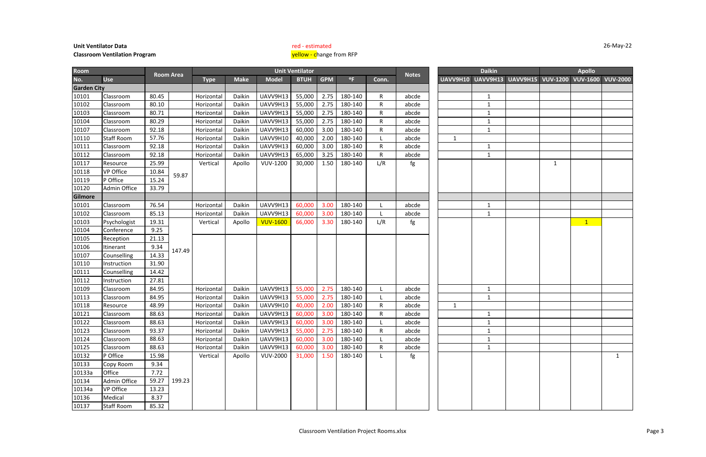|                          |             | Apollo                  |                |
|--------------------------|-------------|-------------------------|----------------|
| <b>UAVV9H15 VUV-1200</b> |             | VUV-1600 VUV-2000       |                |
|                          |             |                         |                |
|                          |             |                         |                |
|                          |             |                         |                |
|                          |             |                         |                |
|                          |             |                         |                |
|                          |             |                         |                |
|                          |             |                         |                |
|                          |             |                         |                |
|                          | $\mathbf 1$ |                         |                |
|                          |             |                         |                |
|                          |             |                         |                |
|                          |             |                         |                |
|                          |             |                         |                |
|                          |             |                         |                |
|                          |             |                         |                |
|                          |             | $\overline{\mathbf{1}}$ |                |
|                          |             |                         |                |
|                          |             |                         |                |
|                          |             |                         |                |
|                          |             |                         |                |
|                          |             |                         |                |
|                          |             |                         |                |
|                          |             |                         |                |
|                          |             |                         |                |
|                          |             |                         |                |
|                          |             |                         |                |
|                          |             |                         |                |
|                          |             |                         |                |
|                          |             |                         |                |
|                          |             |                         |                |
|                          |             |                         | $\overline{1}$ |
|                          |             |                         |                |
|                          |             |                         |                |
|                          |             |                         |                |
|                          |             |                         |                |
|                          |             |                         |                |
|                          |             |                         |                |

| <b>Room</b>        |                   |       |                  |             |             |                 | <b>Unit Ventilator</b> |            |              |              |              |              | <b>Daikin</b>                                         |   | <b>Apollo</b> |  |
|--------------------|-------------------|-------|------------------|-------------|-------------|-----------------|------------------------|------------|--------------|--------------|--------------|--------------|-------------------------------------------------------|---|---------------|--|
| No.                | <b>Use</b>        |       | <b>Room Area</b> | <b>Type</b> | <b>Make</b> | <b>Model</b>    | <b>BTUH</b>            | <b>GPM</b> | $^{\circ}$ F | Conn.        | <b>Notes</b> |              | UAVV9H10 UAVV9H13 UAVV9H15 VUV-1200 VUV-1600 VUV-2000 |   |               |  |
| <b>Garden City</b> |                   |       |                  |             |             |                 |                        |            |              |              |              |              |                                                       |   |               |  |
| 10101              | Classroom         | 80.45 |                  | Horizontal  | Daikin      | UAVV9H13        | 55,000                 | 2.75       | 180-140      | R            | abcde        |              | $\mathbf{1}$                                          |   |               |  |
| 10102              | Classroom         | 80.10 |                  | Horizontal  | Daikin      | UAVV9H13        | 55,000                 | 2.75       | 180-140      | $\mathsf{R}$ | abcde        |              | $\mathbf{1}$                                          |   |               |  |
| 10103              | Classroom         | 80.71 |                  | Horizontal  | Daikin      | UAVV9H13        | 55,000                 | 2.75       | 180-140      | R            | abcde        |              | $\mathbf{1}$                                          |   |               |  |
| 10104              | Classroom         | 80.29 |                  | Horizontal  | Daikin      | UAVV9H13        | 55,000                 | 2.75       | 180-140      | R            | abcde        |              | $\mathbf{1}$                                          |   |               |  |
| 10107              | Classroom         | 92.18 |                  | Horizontal  | Daikin      | UAVV9H13        | 60,000                 | 3.00       | 180-140      | R            | abcde        |              | $\mathbf{1}$                                          |   |               |  |
| 10110              | <b>Staff Room</b> | 57.76 |                  | Horizontal  | Daikin      | UAVV9H10        | 40,000                 | 2.00       | 180-140      |              | abcde        | $\mathbf{1}$ |                                                       |   |               |  |
| 10111              | Classroom         | 92.18 |                  | Horizontal  | Daikin      | UAVV9H13        | 60,000                 | 3.00       | 180-140      | R            | abcde        |              | $\mathbf{1}$                                          |   |               |  |
| 10112              | Classroom         | 92.18 |                  | Horizontal  | Daikin      | UAVV9H13        | 65,000                 | 3.25       | 180-140      | R            | abcde        |              | $\mathbf{1}$                                          |   |               |  |
| 10117              | Resource          | 25.99 |                  | Vertical    | Apollo      | <b>VUV-1200</b> | 30,000                 | 1.50       | 180-140      | L/R          | fg           |              |                                                       | 1 |               |  |
| 10118              | <b>VP Office</b>  | 10.84 | 59.87            |             |             |                 |                        |            |              |              |              |              |                                                       |   |               |  |
| 10119              | P Office          | 15.24 |                  |             |             |                 |                        |            |              |              |              |              |                                                       |   |               |  |
| 10120              | Admin Office      | 33.79 |                  |             |             |                 |                        |            |              |              |              |              |                                                       |   |               |  |
| Gilmore            |                   |       |                  |             |             |                 |                        |            |              |              |              |              |                                                       |   |               |  |
| 10101              | Classroom         | 76.54 |                  | Horizontal  | Daikin      | UAVV9H13        | 60,000                 | 3.00       | 180-140      |              | abcde        |              | $\mathbf{1}$                                          |   |               |  |
| 10102              | Classroom         | 85.13 |                  | Horizontal  | Daikin      | UAVV9H13        | 60,000                 | 3.00       | 180-140      |              | abcde        |              | $\mathbf{1}$                                          |   |               |  |
| 10103              | Psychologist      | 19.31 |                  | Vertical    | Apollo      | <b>VUV-1600</b> | 66,000                 | 3.30       | 180-140      | L/R          | fg           |              |                                                       |   | $\mathbf{1}$  |  |
| 10104              | Conference        | 9.25  |                  |             |             |                 |                        |            |              |              |              |              |                                                       |   |               |  |
| 10105              | Reception         | 21.13 |                  |             |             |                 |                        |            |              |              |              |              |                                                       |   |               |  |
| 10106              | Itinerant         | 9.34  | 147.49           |             |             |                 |                        |            |              |              |              |              |                                                       |   |               |  |
| 10107              | Counselling       | 14.33 |                  |             |             |                 |                        |            |              |              |              |              |                                                       |   |               |  |
| 10110              | Instruction       | 31.90 |                  |             |             |                 |                        |            |              |              |              |              |                                                       |   |               |  |
| 10111              | Counselling       | 14.42 |                  |             |             |                 |                        |            |              |              |              |              |                                                       |   |               |  |
| 10112              | Instruction       | 27.81 |                  |             |             |                 |                        |            |              |              |              |              |                                                       |   |               |  |
| 10109              | Classroom         | 84.95 |                  | Horizontal  | Daikin      | UAVV9H13        | 55,000                 | 2.75       | 180-140      |              | abcde        |              | $\mathbf{1}$                                          |   |               |  |
| 10113              | Classroom         | 84.95 |                  | Horizontal  | Daikin      | UAVV9H13        | 55,000                 | 2.75       | 180-140      |              | abcde        |              | 1                                                     |   |               |  |
| 10118              | Resource          | 48.99 |                  | Horizontal  | Daikin      | UAVV9H10        | 40,000                 | 2.00       | 180-140      | R            | abcde        | 1            |                                                       |   |               |  |
| 10121              | Classroom         | 88.63 |                  | Horizontal  | Daikin      | UAVV9H13        | 60,000                 | 3.00       | 180-140      | R            | abcde        |              | $\mathbf{1}$                                          |   |               |  |
| 10122              | Classroom         | 88.63 |                  | Horizontal  | Daikin      | UAVV9H13        | 60,000                 | 3.00       | 180-140      |              | abcde        |              | $\mathbf{1}$                                          |   |               |  |
| 10123              | Classroom         | 93.37 |                  | Horizontal  | Daikin      | UAVV9H13        | 55,000                 | 2.75       | 180-140      | R            | abcde        |              | $\mathbf{1}$                                          |   |               |  |
| 10124              | Classroom         | 88.63 |                  | Horizontal  | Daikin      | UAVV9H13        | 60,000                 | 3.00       | 180-140      |              | abcde        |              | $\mathbf{1}$                                          |   |               |  |
| 10125              | Classroom         | 88.63 |                  | Horizontal  | Daikin      | UAVV9H13        | 60,000                 | 3.00       | 180-140      | R            | abcde        |              | $\mathbf{1}$                                          |   |               |  |
| 10132              | P Office          | 15.98 |                  | Vertical    | Apollo      | <b>VUV-2000</b> | 31,000                 | 1.50       | 180-140      |              | fg           |              |                                                       |   |               |  |
| 10133              | Copy Room         | 9.34  |                  |             |             |                 |                        |            |              |              |              |              |                                                       |   |               |  |
| 10133a             | Office            | 7.72  |                  |             |             |                 |                        |            |              |              |              |              |                                                       |   |               |  |
| 10134              | Admin Office      | 59.27 | 199.23           |             |             |                 |                        |            |              |              |              |              |                                                       |   |               |  |
| 10134a             | <b>VP Office</b>  | 13.23 |                  |             |             |                 |                        |            |              |              |              |              |                                                       |   |               |  |
| 10136              | Medical           | 8.37  |                  |             |             |                 |                        |            |              |              |              |              |                                                       |   |               |  |
| 10137              | <b>Staff Room</b> | 85.32 |                  |             |             |                 |                        |            |              |              |              |              |                                                       |   |               |  |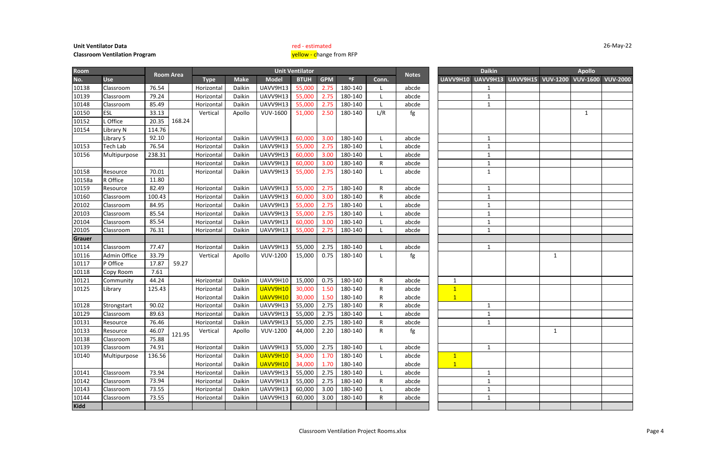**Unit Ventilator Data red - estimated red - estimated** 

### **Classroom Ventilation Program** yellow and the state of the state of the state of the state of the state of the state of the state of the state of the state of the state of the state of the state of the state of the state

### 26-May-22

|                | Apollo<br>VUV-1600 VUV-2000 |  |
|----------------|-----------------------------|--|
| V9H15 VUV-1200 |                             |  |
|                |                             |  |
|                |                             |  |
|                |                             |  |
|                | $\mathbf 1$                 |  |
|                |                             |  |
|                |                             |  |
|                |                             |  |
|                |                             |  |
|                |                             |  |
|                |                             |  |
|                |                             |  |
|                |                             |  |
|                |                             |  |
|                |                             |  |
|                |                             |  |
|                |                             |  |
|                |                             |  |
|                |                             |  |
|                |                             |  |
| $\mathbf{1}$   |                             |  |
|                |                             |  |
|                |                             |  |
|                |                             |  |
|                |                             |  |
|                |                             |  |
|                |                             |  |
|                |                             |  |
| $\mathbf 1$    |                             |  |
|                |                             |  |
|                |                             |  |
|                |                             |  |
|                |                             |  |
|                |                             |  |
|                |                             |  |
|                |                             |  |
|                |                             |  |
|                |                             |  |

**No. Use Type Make Model BTUH GPM** °**F Conn. UAVV9H10 UAVV9H13 UAVV9H15 VUV-1200 VUV-1600 VUV-2000 Room Notes Unit Ventilator Daikin Apollo Room Area** 10138 |Classroom | 76.54 | | Horizontal | Daikin | UAVV9H13 | 55,000 | 2.75 | 180-140 | L | abcde | | | | | | 1 10139 |Classroom | 79.24 | | Horizontal | Daikin | UAVV9H13 | 55,000 | 2.75 | 180-140 | L | abcde | | | | | | 1 10148 |Classroom | 85.49 | | Horizontal | Daikin | UAVV9H13 | 55,000 | 2.75 | 180-140 | L | abcde | | 1 10150 ESL 33.13 Vertical Apollo VUV-1600 51,000 2.50 180-140 L/R fg 1 10152 L Office 1 20.35 10154 Library N 114.76 Library S | 92.10 | | Horizontal | Daikin | UAVV9H13 | 60,000 | 3.00 | 180-140 | | abcde | | | 1 10153 |Tech Lab | 76.54 | | | Horizontal | Daikin | UAVV9H13 | 55,000 | 2.75 | 180-140 | L | | abcde | | | | | | | | 10156 |Multipurpose 238.31 | | Horizontal Daikin | UAVV9H13 | 60,000 | 3.00 | 180-140 | L | abcde | | | | | | 1 Horizontal | Daikin | UAVV9H13 | 60,000 | 3.00 | 180-140 | R | abcde | | | 1 10158 |Resource | 70.01 | | | Horizontal | Daikin | UAVV9H13 | 55,000 | 2.75 | 180-140 | L | abcde | | | | | | 10158a R Office | 11.80 10159 |Resource | 82.49 | | Horizontal | Daikin | UAVV9H13 | 55,000 | 2.75 | 180-140 | R | abcde | | 1 10160 |Classroom | 100.43 | | Horizontal | Daikin | UAVV9H13 | 60,000 | 3.00 | 180-140 | R | abcde | | | 1 20102 |Classroom | 84.95 | | Horizontal | Daikin | UAVV9H13 | 55,000 | 2.75 | 180-140 | L | abcde | | 1 20103 |Classroom | 85.54 | | Horizontal | Daikin | UAVV9H13 | 55,000 | 2.75 | 180-140 | L | abcde | | 1 20104 |Classroom | 85.54 | | Horizontal | Daikin | UAVV9H13 | 60,000 | 3.00 | 180-140 | L | abcde | | 1 20105 |Classroom | 76.31 | | Horizontal | Daikin | UAVV9H13 | 55,000 | 2.75 | 180-140 | L | abcde | | | 1 **Grauer** 10114 |Classroom | 77.47 | | Horizontal | Daikin | UAVV9H13 | 55,000 | 2.75 | 180-140 | L | abcde | | | 1 10116 |Admin Office | 33.79 | | | Vertical | Apollo | VUV-1200 | 15,000 | 0.75 | 180-140 | L | fg | | | | | | | 10117 P Office 17.87 10118 Copy Room 7.61 10121 |Community | 44.24 | | Horizontal | Daikin | UAVV9H10 | 15,000 | 0.75 | 180-140 | R | abcde | | 1 10125 |Library | 125.43 | | Horizontal | Daikin <mark>| UAVV9H10 |</mark> 30,000 | 1.50 | 180-140 | R | abcde | <mark>| 1</mark> Horizontal Daikin UAVV9H10 30,000 1.50 180-140 R abcde 1 10128 |Strongstart | 90.02 | | Horizontal | Daikin | UAVV9H13 | 55,000 | 2.75 | 180-140 | R | abcde | | | | | 1 10129 |Classroom | 89.63 | | Horizontal | Daikin | UAVV9H13 | 55,000 | 2.75 | 180-140 | L | abcde | | | | 1 10131 |Resource | 76.46 | | | Horizontal | Daikin | UAVV9H13 | 55,000 | 2.75 | 180-140 | R | abcde | | | | | | 10133 |Resource | 46.07 | <sub>121 OF</sub> | Vertical | Apollo | VUV-1200 | 44,000 | 2.20 | 180-140 | R | fg | | | | | | | | | | | | | 10138 Classroom 75.88 10139 |Classroom | 74.91 | | Horizontal | Daikin | UAVV9H13 | 55,000 | 2.75 | 180-140 | L | abcde | | | 1 10140 |Multipurpose | 136.56 | | | | Horizontal | Daikin <mark>| UAVV9H10 |</mark> 34,000 | 1.70 | 180-140 | L | abcde | <mark>| 1</mark> Horizontal Daikin <mark>UAVV9H10</mark> 34,000 1.70 180-140 | abcde | <mark>| 1</mark> 10141 |Classroom | 73.94 | | Horizontal | Daikin | UAVV9H13 | 55,000 | 2.75 | 180-140 | L | abcde | | | 1 10142 |Classroom | 73.94 | | Horizontal | Daikin | UAVV9H13 | 55,000 | 2.75 | 180-140 | R | abcde | | | 1 10143 |Classroom | 73.55 | | Horizontal | Daikin | UAVV9H13 | 60,000 | 3.00 | 180-140 | L | abcde | | | | 10144 |Classroom | 73.55 | | Horizontal | Daikin | UAVV9H13 | 60,000 | 3.00 | 180-140 | R | abcde | | | 1 **Kidd** 59.27 168.24 121.95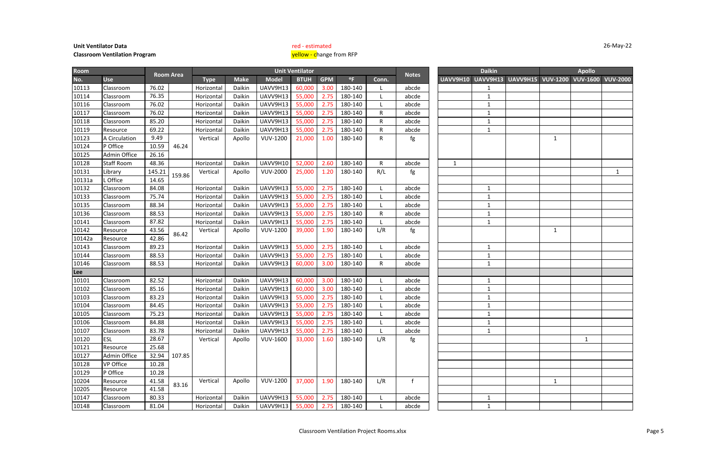|                | Apollo<br>VUV-1600 VUV-2000 |             |
|----------------|-----------------------------|-------------|
| V9H15 VUV-1200 |                             |             |
|                |                             |             |
|                |                             |             |
|                |                             |             |
|                |                             |             |
|                |                             |             |
|                |                             |             |
| $\mathbf{1}$   |                             |             |
|                |                             |             |
|                |                             |             |
|                |                             | $\mathbf 1$ |
|                |                             |             |
|                |                             |             |
|                |                             |             |
|                |                             |             |
|                |                             |             |
|                |                             |             |
| $\mathbf{1}$   |                             |             |
|                |                             |             |
|                |                             |             |
|                |                             |             |
|                |                             |             |
|                |                             |             |
|                |                             |             |
|                |                             |             |
|                |                             |             |
|                |                             |             |
|                |                             |             |
|                |                             |             |
|                | $\mathbf{1}$                |             |
|                |                             |             |
|                |                             |             |
|                |                             |             |
|                |                             |             |
| $\mathbf{1}$   |                             |             |
|                |                             |             |
|                |                             |             |
|                |                             |             |

| <b>Room</b> |                  |        |                  |             |             |                 | <b>Unit Ventilator</b> |            |              |              |              |              | <b>Daikin</b>     |                          |              | <b>Apollo</b>     |  |
|-------------|------------------|--------|------------------|-------------|-------------|-----------------|------------------------|------------|--------------|--------------|--------------|--------------|-------------------|--------------------------|--------------|-------------------|--|
| No.         | <b>Use</b>       |        | <b>Room Area</b> | <b>Type</b> | <b>Make</b> | <b>Model</b>    | <b>BTUH</b>            | <b>GPM</b> | $^{\circ}$ F | Conn.        | <b>Notes</b> |              | UAVV9H10 UAVV9H13 | <b>UAVV9H15 VUV-1200</b> |              | VUV-1600 VUV-2000 |  |
| 10113       | Classroom        | 76.02  |                  | Horizonta   | Daikin      | UAVV9H13        | 60,000                 | 3.00       | 180-140      |              | abcde        |              | $\mathbf{1}$      |                          |              |                   |  |
| 10114       | Classroom        | 76.35  |                  | Horizontal  | Daikin      | UAVV9H13        | 55,000                 | 2.75       | 180-140      |              | abcde        |              | $\mathbf{1}$      |                          |              |                   |  |
| 10116       | Classroom        | 76.02  |                  | Horizontal  | Daikin      | UAVV9H13        | 55,000                 | 2.75       | 180-140      |              | abcde        |              | $\mathbf{1}$      |                          |              |                   |  |
| 10117       | Classroom        | 76.02  |                  | Horizonta   | Daikin      | UAVV9H13        | 55,000                 | 2.75       | 180-140      | R            | abcde        |              | $\mathbf{1}$      |                          |              |                   |  |
| 10118       | Classroom        | 85.20  |                  | Horizontal  | Daikin      | UAVV9H13        | 55,000                 | 2.75       | 180-140      | R            | abcde        |              | $\mathbf{1}$      |                          |              |                   |  |
| 10119       | Resource         | 69.22  |                  | Horizontal  | Daikin      | UAVV9H13        | 55,000                 | 2.75       | 180-140      | $\mathsf{R}$ | abcde        |              | $\mathbf{1}$      |                          |              |                   |  |
| 10123       | A Circulation    | 9.49   |                  | Vertical    | Apollo      | <b>VUV-1200</b> | 21,000                 | 1.00       | 180-140      | R            | fg           |              |                   |                          | 1            |                   |  |
| 10124       | P Office         | 10.59  | 46.24            |             |             |                 |                        |            |              |              |              |              |                   |                          |              |                   |  |
| 10125       | Admin Office     | 26.16  |                  |             |             |                 |                        |            |              |              |              |              |                   |                          |              |                   |  |
| 10128       | Staff Room       | 48.36  |                  | Horizontal  | Daikin      | UAVV9H10        | 52,000                 | 2.60       | 180-140      | R            | abcde        | $\mathbf{1}$ |                   |                          |              |                   |  |
| 10131       | Library          | 145.21 | 159.86           | Vertical    | Apollo      | <b>VUV-2000</b> | 25,000                 | 1.20       | 180-140      | R/L          | fg           |              |                   |                          |              |                   |  |
| 10131a      | . Office         | 14.65  |                  |             |             |                 |                        |            |              |              |              |              |                   |                          |              |                   |  |
| 10132       | Classroom        | 84.08  |                  | Horizontal  | Daikin      | UAVV9H13        | 55,000                 | 2.75       | 180-140      |              | abcde        |              | $\mathbf{1}$      |                          |              |                   |  |
| 10133       | Classroom        | 75.74  |                  | Horizontal  | Daikin      | UAVV9H13        | 55,000                 | 2.75       | 180-140      |              | abcde        |              | 1                 |                          |              |                   |  |
| 10135       | Classroom        | 88.34  |                  | Horizontal  | Daikin      | UAVV9H13        | 55,000                 | 2.75       | 180-140      |              | abcde        |              | $\mathbf{1}$      |                          |              |                   |  |
| 10136       | Classroom        | 88.53  |                  | Horizontal  | Daikin      | UAVV9H13        | 55,000                 | 2.75       | 180-140      | R            | abcde        |              | $\mathbf{1}$      |                          |              |                   |  |
| 10141       | Classroom        | 87.82  |                  | Horizontal  | Daikin      | UAVV9H13        | 55,000                 | 2.75       | 180-140      |              | abcde        |              | $\mathbf{1}$      |                          |              |                   |  |
| 10142       | Resource         | 43.56  | 86.42            | Vertical    | Apollo      | <b>VUV-1200</b> | 39,000                 | 1.90       | 180-140      | L/R          | fg           |              |                   |                          | 1            |                   |  |
| 10142a      | Resource         | 42.86  |                  |             |             |                 |                        |            |              |              |              |              |                   |                          |              |                   |  |
| 10143       | Classroom        | 89.23  |                  | Horizontal  | Daikin      | UAVV9H13        | 55,000                 | 2.75       | 180-140      |              | abcde        |              | $\mathbf{1}$      |                          |              |                   |  |
| 10144       | Classroom        | 88.53  |                  | Horizontal  | Daikin      | UAVV9H13        | 55,000                 | 2.75       | 180-140      |              | abcde        |              | $\mathbf{1}$      |                          |              |                   |  |
| 10146       | Classroom        | 88.53  |                  | Horizontal  | Daikin      | UAVV9H13        | 60,000                 | 3.00       | 180-140      | R            | abcde        |              | $\mathbf{1}$      |                          |              |                   |  |
| Lee         |                  |        |                  |             |             |                 |                        |            |              |              |              |              |                   |                          |              |                   |  |
| 10101       | Classroom        | 82.52  |                  | Horizontal  | Daikin      | UAVV9H13        | 60,000                 | 3.00       | 180-140      |              | abcde        |              | $\mathbf{1}$      |                          |              |                   |  |
| 10102       | Classroom        | 85.16  |                  | Horizontal  | Daikin      | UAVV9H13        | 60,000                 | 3.00       | 180-140      |              | abcde        |              | $\mathbf{1}$      |                          |              |                   |  |
| 10103       | Classroom        | 83.23  |                  | Horizontal  | Daikin      | UAVV9H13        | 55,000                 | 2.75       | 180-140      |              | abcde        |              | 1                 |                          |              |                   |  |
| 10104       | Classroom        | 84.45  |                  | Horizontal  | Daikin      | UAVV9H13        | 55,000                 | 2.75       | 180-140      |              | abcde        |              | $\mathbf{1}$      |                          |              |                   |  |
| 10105       | Classroom        | 75.23  |                  | Horizontal  | Daikin      | UAVV9H13        | 55,000                 | 2.75       | 180-140      |              | abcde        |              | $\mathbf{1}$      |                          |              |                   |  |
| 10106       | Classroom        | 84.88  |                  | Horizontal  | Daikin      | UAVV9H13        | 55,000                 | 2.75       | 180-140      |              | abcde        |              | 1                 |                          |              |                   |  |
| 10107       | Classroom        | 83.78  |                  | Horizontal  | Daikin      | UAVV9H13        | 55,000                 | 2.75       | 180-140      |              | abcde        |              | $\mathbf{1}$      |                          |              |                   |  |
| 10120       | <b>ESL</b>       | 28.67  |                  | Vertical    | Apollo      | <b>VUV-1600</b> | 33,000                 | 1.60       | 180-140      | L/R          | fg           |              |                   |                          |              | $\mathbf{1}$      |  |
| 10121       | Resource         | 25.68  |                  |             |             |                 |                        |            |              |              |              |              |                   |                          |              |                   |  |
| 10127       | Admin Office     | 32.94  | 107.85           |             |             |                 |                        |            |              |              |              |              |                   |                          |              |                   |  |
| 10128       | <b>VP Office</b> | 10.28  |                  |             |             |                 |                        |            |              |              |              |              |                   |                          |              |                   |  |
| 10129       | P Office         | 10.28  |                  |             |             |                 |                        |            |              |              |              |              |                   |                          |              |                   |  |
| 10204       | Resource         | 41.58  | 83.16            | Vertical    | Apollo      | <b>VUV-1200</b> | 37,000                 | 1.90       | 180-140      | L/R          |              |              |                   |                          | $\mathbf{1}$ |                   |  |
| 10205       | Resource         | 41.58  |                  |             |             |                 |                        |            |              |              |              |              |                   |                          |              |                   |  |
| 10147       | Classroom        | 80.33  |                  | Horizontal  | Daikin      | UAVV9H13        | 55,000                 | 2.75       | 180-140      |              | abcde        |              | $\mathbf{1}$      |                          |              |                   |  |
| 10148       | Classroom        | 81.04  |                  | Horizontal  | Daikin      | UAVV9H13        | 55,000                 | 2.75       | 180-140      |              | abcde        |              | $\mathbf{1}$      |                          |              |                   |  |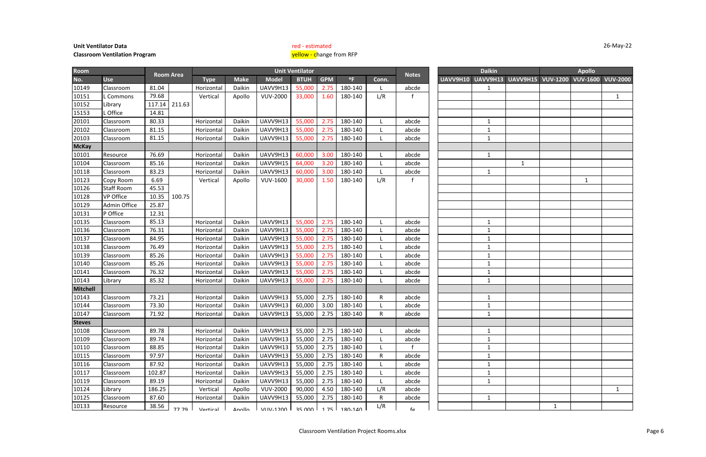|              |              | Apollo                           |             |
|--------------|--------------|----------------------------------|-------------|
|              |              | V9H15 VUV-1200 VUV-1600 VUV-2000 |             |
|              |              |                                  |             |
|              |              |                                  | $\mathbf 1$ |
|              |              |                                  |             |
|              |              |                                  |             |
|              |              |                                  |             |
|              |              |                                  |             |
|              |              |                                  |             |
|              |              |                                  |             |
| $\mathbf{1}$ |              |                                  |             |
|              |              |                                  |             |
|              |              | $\mathbf 1$                      |             |
|              |              |                                  |             |
|              |              |                                  |             |
|              |              |                                  |             |
|              |              |                                  |             |
|              |              |                                  |             |
|              |              |                                  |             |
|              |              |                                  |             |
|              |              |                                  |             |
|              |              |                                  |             |
|              |              |                                  |             |
|              |              |                                  |             |
|              |              |                                  |             |
|              |              |                                  |             |
|              |              |                                  |             |
|              |              |                                  |             |
|              |              |                                  |             |
|              |              |                                  |             |
|              |              |                                  |             |
|              |              |                                  |             |
|              |              |                                  |             |
|              |              |                                  |             |
|              |              |                                  |             |
|              |              |                                  |             |
|              |              |                                  | $\mathbf 1$ |
|              |              |                                  |             |
|              | $\mathbf{1}$ |                                  |             |

| Room            |                     |        |                  |                 |               |                                        | <b>Unit Ventilator</b> |            |              |       |              |          | <b>Daikin</b> |                            |              | <b>Apollo</b>   |                 |
|-----------------|---------------------|--------|------------------|-----------------|---------------|----------------------------------------|------------------------|------------|--------------|-------|--------------|----------|---------------|----------------------------|--------------|-----------------|-----------------|
| No.             | <b>Use</b>          |        | <b>Room Area</b> | <b>Type</b>     | <b>Make</b>   | <b>Model</b>                           | <b>BTUH</b>            | <b>GPM</b> | $^{\circ}$ F | Conn. | <b>Notes</b> | UAVV9H10 |               | UAVV9H13 UAVV9H15 VUV-1200 |              | <b>VUV-1600</b> | <b>VUV-2000</b> |
| 10149           | Classroom           | 81.04  |                  | Horizontal      | Daikin        | UAVV9H13                               | 55,000                 | 2.75       | 180-140      |       | abcde        |          | $\mathbf{1}$  |                            |              |                 |                 |
| 10151           | L Commons           | 79.68  |                  | Vertical        | Apollo        | <b>VUV-2000</b>                        | 33,000                 | 1.60       | 180-140      | L/R   |              |          |               |                            |              |                 | $\mathbf{1}$    |
| 10152           | Library             | 117.14 | 211.63           |                 |               |                                        |                        |            |              |       |              |          |               |                            |              |                 |                 |
| 15153           | Office              | 14.81  |                  |                 |               |                                        |                        |            |              |       |              |          |               |                            |              |                 |                 |
| 20101           | Classroom           | 80.33  |                  | Horizontal      | Daikin        | UAVV9H13                               | 55,000                 | 2.75       | 180-140      |       | abcde        |          | 1             |                            |              |                 |                 |
| 20102           | Classroom           | 81.15  |                  | Horizontal      | Daikin        | UAVV9H13                               | 55,000                 | 2.75       | 180-140      |       | abcde        |          | 1             |                            |              |                 |                 |
| 20103           | Classroom           | 81.15  |                  | Horizontal      | Daikin        | UAVV9H13                               | 55,000                 | 2.75       | 180-140      |       | abcde        |          | 1             |                            |              |                 |                 |
| <b>McKay</b>    |                     |        |                  |                 |               |                                        |                        |            |              |       |              |          |               |                            |              |                 |                 |
| 10101           | Resource            | 76.69  |                  | Horizonta       | Daikin        | UAVV9H13                               | 60,000                 | 3.00       | 180-140      |       | abcde        |          | $\mathbf{1}$  |                            |              |                 |                 |
| 10104           | Classroom           | 85.16  |                  | Horizontal      | Daikin        | UAVV9H15                               | 64,000                 | 3.20       | 180-140      |       | abcde        |          |               | $\mathbf{1}$               |              |                 |                 |
| 10118           | Classroom           | 83.23  |                  | Horizontal      | Daikin        | UAVV9H13                               | 60,000                 | 3.00       | 180-140      |       | abcde        |          | $\mathbf{1}$  |                            |              |                 |                 |
| 10123           | Copy Room           | 6.69   |                  | Vertical        | Apollo        | <b>VUV-1600</b>                        | 30,000                 | 1.50       | 180-140      | L/R   |              |          |               |                            |              | 1               |                 |
| 10126           | <b>Staff Room</b>   | 45.53  |                  |                 |               |                                        |                        |            |              |       |              |          |               |                            |              |                 |                 |
| 10128           | <b>VP Office</b>    | 10.35  | 100.75           |                 |               |                                        |                        |            |              |       |              |          |               |                            |              |                 |                 |
| 10129           | <b>Admin Office</b> | 25.87  |                  |                 |               |                                        |                        |            |              |       |              |          |               |                            |              |                 |                 |
| 10131           | P Office            | 12.31  |                  |                 |               |                                        |                        |            |              |       |              |          |               |                            |              |                 |                 |
| 10135           | Classroom           | 85.13  |                  | Horizontal      | Daikin        | UAVV9H13                               | 55,000                 | 2.75       | 180-140      |       | abcde        |          | 1             |                            |              |                 |                 |
| 10136           | Classroom           | 76.31  |                  | Horizontal      | Daikin        | UAVV9H13                               | 55,000                 | 2.75       | 180-140      |       | abcde        |          | 1             |                            |              |                 |                 |
| 10137           | Classroom           | 84.95  |                  | Horizontal      | Daikin        | UAVV9H13                               | 55,000                 | 2.75       | 180-140      |       | abcde        |          |               |                            |              |                 |                 |
| 10138           | Classroom           | 76.49  |                  | Horizontal      | Daikin        | UAVV9H13                               | 55,000                 | 2.75       | 180-140      |       | abcde        |          | 1             |                            |              |                 |                 |
| 10139           | Classroom           | 85.26  |                  | Horizonta       | Daikin        | UAVV9H13                               | 55,000                 | 2.75       | 180-140      |       | abcde        |          | 1             |                            |              |                 |                 |
| 10140           | Classroom           | 85.26  |                  | Horizontal      | Daikin        | UAVV9H13                               | 55,000                 | 2.75       | 180-140      |       | abcde        |          |               |                            |              |                 |                 |
| 10141           | Classroom           | 76.32  |                  | Horizonta       | Daikin        | UAVV9H13                               | 55,000                 | 2.75       | 180-140      |       | abcde        |          | $\mathbf{1}$  |                            |              |                 |                 |
| 10143           | Library             | 85.32  |                  | Horizontal      | Daikin        | UAVV9H13                               | 55,000                 | 2.75       | 180-140      |       | abcde        |          | 1             |                            |              |                 |                 |
| <b>Mitchell</b> |                     |        |                  |                 |               |                                        |                        |            |              |       |              |          |               |                            |              |                 |                 |
| 10143           | Classroom           | 73.21  |                  | Horizontal      | Daikin        | UAVV9H13                               | 55,000                 | 2.75       | 180-140      | R     | abcde        |          | 1             |                            |              |                 |                 |
| 10144           | Classroom           | 73.30  |                  | Horizontal      | Daikin        | UAVV9H13                               | 60,000                 | 3.00       | 180-140      |       | abcde        |          | $\mathbf{1}$  |                            |              |                 |                 |
| 10147           | Classroom           | 71.92  |                  | Horizonta       | Daikin        | UAVV9H13                               | 55,000                 | 2.75       | 180-140      | R     | abcde        |          | $\mathbf{1}$  |                            |              |                 |                 |
| <b>Steves</b>   |                     |        |                  |                 |               |                                        |                        |            |              |       |              |          |               |                            |              |                 |                 |
| 10108           | Classroom           | 89.78  |                  | Horizontal      | Daikin        | UAVV9H13                               | 55,000                 | 2.75       | 180-140      |       | abcde        |          |               |                            |              |                 |                 |
| 10109           | Classroom           | 89.74  |                  | Horizontal      | Daikin        | UAVV9H13                               | 55,000                 | 2.75       | 180-140      |       | abcde        |          |               |                            |              |                 |                 |
| 10110           | Classroom           | 88.85  |                  | Horizontal      | Daikin        | UAVV9H13                               | 55,000                 | 2.75       | 180-140      |       |              |          | $\mathbf{1}$  |                            |              |                 |                 |
| 10115           | Classroom           | 97.97  |                  | Horizontal      | Daikin        | UAVV9H13                               | 55,000                 | 2.75       | 180-140      | R     | abcde        |          | $\mathbf{1}$  |                            |              |                 |                 |
| 10116           | Classroom           | 87.92  |                  | Horizontal      | Daikin        | UAVV9H13                               | 55,000                 | 2.75       | 180-140      |       | abcde        |          | 1             |                            |              |                 |                 |
| 10117           | Classroom           | 102.87 |                  | Horizontal      | Daikin        | UAVV9H13                               | 55,000                 | 2.75       | 180-140      |       | abcde        |          |               |                            |              |                 |                 |
| 10119           | Classroom           | 89.19  |                  | Horizontal      | Daikin        | UAVV9H13                               | 55,000                 | 2.75       | 180-140      |       | abcde        |          | 1             |                            |              |                 |                 |
| 10124           | Library             | 186.25 |                  | Vertical        | Apollo        | <b>VUV-2000</b>                        | 90,000                 | 4.50       | 180-140      | L/R   | abcde        |          |               |                            |              |                 | $\mathbf{1}$    |
| 10125           | Classroom           | 87.60  |                  | Horizontal      | Daikin        | UAVV9H13                               | 55,000                 | 2.75       | 180-140      | R     | abcde        |          | 1             |                            |              |                 |                 |
| 10133           | Resource            | 38.56  | 77 70            | <b>Nartical</b> | <b>Anollo</b> | $\Gamma$ \/ $\Gamma$ IN/-1200 $\Gamma$ | ar uuu 1               | 1 75 I     | 180-140      | L/R   | $f\sigma$    |          |               |                            | $\mathbf{1}$ |                 |                 |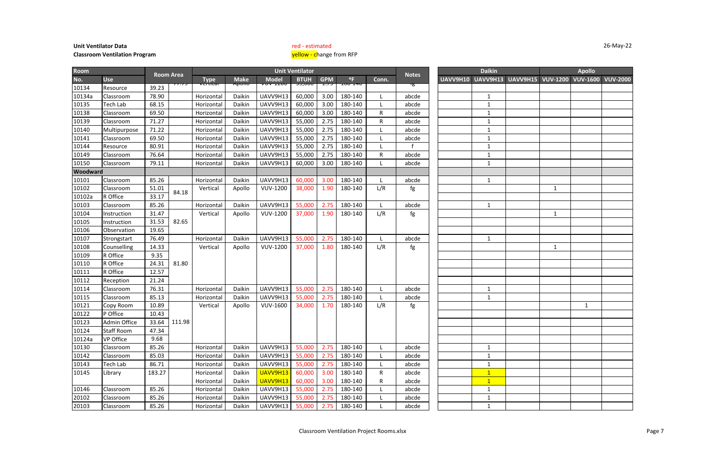|          |                 | Apollo          |                 |
|----------|-----------------|-----------------|-----------------|
| UAVV9H15 | <b>VUV-1200</b> | <b>VUV-1600</b> | <b>VUV-2000</b> |
|          |                 |                 |                 |
|          |                 |                 |                 |
|          |                 |                 |                 |
|          |                 |                 |                 |
|          |                 |                 |                 |
|          |                 |                 |                 |
|          |                 |                 |                 |
|          |                 |                 |                 |
|          |                 |                 |                 |
|          |                 |                 |                 |
|          |                 |                 |                 |
|          | $\mathbf{1}$    |                 |                 |
|          |                 |                 |                 |
|          |                 |                 |                 |
|          | $\overline{1}$  |                 |                 |
|          |                 |                 |                 |
|          |                 |                 |                 |
|          |                 |                 |                 |
|          | $\mathbf 1$     |                 |                 |
|          |                 |                 |                 |
|          |                 |                 |                 |
|          |                 |                 |                 |
|          |                 |                 |                 |
|          |                 |                 |                 |
|          |                 | $\mathbf 1$     |                 |
|          |                 |                 |                 |
|          |                 |                 |                 |
|          |                 |                 |                 |
|          |                 |                 |                 |
|          |                 |                 |                 |
|          |                 |                 |                 |
|          |                 |                 |                 |
|          |                 |                 |                 |
|          |                 |                 |                 |
|          |                 |                 |                 |
|          |                 |                 |                 |
|          |                 |                 |                 |

| <b>Room</b>     |                   |        |                  |                       |                  |                 | <b>Unit Ventilator</b> |            |              |              |              |          | <b>Daikin</b> |                                   |              | <b>Apollo</b>     |  |
|-----------------|-------------------|--------|------------------|-----------------------|------------------|-----------------|------------------------|------------|--------------|--------------|--------------|----------|---------------|-----------------------------------|--------------|-------------------|--|
| No.             | <b>Use</b>        |        | <b>Room Area</b> | <b>Type</b>           | <b>Make</b>      | <b>Model</b>    | <b>BTUH</b>            | <b>GPM</b> | $^{\circ}$ F | Conn.        | <b>Notes</b> | UAVV9H10 |               | <b>UAVV9H13 UAVV9H15 VUV-1200</b> |              | VUV-1600 VUV-2000 |  |
| 10134           | Resource          | 39.23  | <del>,,,,</del>  | <del>, crtica</del> i | <del>apono</del> | ᢦ᠊ᠣᢦ᠆ᠴᡔᡂ        | ᡂᢊᠣᠣ                   | ᠴ᠋᠇ᠵ       | ᡗᡂ᠆ᠴᠮᡃᠯᠣ     |              | ுக           |          |               |                                   |              |                   |  |
| 10134a          | Classroom         | 78.90  |                  | Horizontal            | Daikin           | UAVV9H13        | 60,000                 | 3.00       | 180-140      |              | abcde        |          | $\mathbf{1}$  |                                   |              |                   |  |
| 10135           | Tech Lab          | 68.15  |                  | Horizontal            | Daikin           | UAVV9H13        | 60,000                 | 3.00       | 180-140      |              | abcde        |          | 1             |                                   |              |                   |  |
| 10138           | Classroom         | 69.50  |                  | Horizonta             | Daikin           | UAVV9H13        | 60,000                 | 3.00       | 180-140      | $\mathsf R$  | abcde        |          | $\mathbf{1}$  |                                   |              |                   |  |
| 10139           | Classroom         | 71.27  |                  | Horizonta             | Daikin           | UAVV9H13        | 55,000                 | 2.75       | 180-140      | $\mathsf R$  | abcde        |          |               |                                   |              |                   |  |
| 10140           | Multipurpose      | 71.22  |                  | Horizontal            | Daikin           | UAVV9H13        | 55,000                 | 2.75       | 180-140      |              | abcde        |          | $\mathbf{1}$  |                                   |              |                   |  |
| 10141           | Classroom         | 69.50  |                  | Horizontal            | Daikin           | UAVV9H13        | 55,000                 | 2.75       | 180-140      |              | abcde        |          |               |                                   |              |                   |  |
| 10144           | Resource          | 80.91  |                  | Horizontal            | Daikin           | UAVV9H13        | 55,000                 | 2.75       | 180-140      |              |              |          |               |                                   |              |                   |  |
| 10149           | Classroom         | 76.64  |                  | Horizontal            | Daikin           | UAVV9H13        | 55,000                 | 2.75       | 180-140      | ${\sf R}$    | abcde        |          | 1             |                                   |              |                   |  |
| 10150           | Classroom         | 79.11  |                  | Horizontal            | Daikin           | UAVV9H13        | 60,000                 | 3.00       | 180-140      |              | abcde        |          | $\mathbf{1}$  |                                   |              |                   |  |
| <b>Woodward</b> |                   |        |                  |                       |                  |                 |                        |            |              |              |              |          |               |                                   |              |                   |  |
| 10101           | Classroom         | 85.26  |                  | Horizontal            | Daikin           | UAVV9H13        | 60,000                 | 3.00       | 180-140      |              | abcde        |          | $\mathbf{1}$  |                                   |              |                   |  |
| 10102           | Classroom         | 51.01  | 84.18            | Vertical              | Apollo           | <b>VUV-1200</b> | 38,000                 | 1.90       | 180-140      | L/R          | fg           |          |               |                                   | 1            |                   |  |
| 10102a          | R Office          | 33.17  |                  |                       |                  |                 |                        |            |              |              |              |          |               |                                   |              |                   |  |
| 10103           | Classroom         | 85.26  |                  | Horizontal            | Daikin           | UAVV9H13        | 55,000                 | 2.75       | 180-140      |              | abcde        |          | 1             |                                   |              |                   |  |
| 10104           | Instruction       | 31.47  |                  | Vertical              | Apollo           | <b>VUV-1200</b> | 37,000                 | 1.90       | 180-140      | L/R          | fg           |          |               |                                   | 1            |                   |  |
| 10105           | Instruction       | 31.53  | 82.65            |                       |                  |                 |                        |            |              |              |              |          |               |                                   |              |                   |  |
| 10106           | Observation       | 19.65  |                  |                       |                  |                 |                        |            |              |              |              |          |               |                                   |              |                   |  |
| 10107           | Strongstart       | 76.49  |                  | Horizontal            | Daikin           | UAVV9H13        | 55,000                 | 2.75       | 180-140      |              | abcde        |          | $\mathbf{1}$  |                                   |              |                   |  |
| 10108           | Counselling       | 14.33  |                  | Vertical              | Apollo           | <b>VUV-1200</b> | 37,000                 | 1.80       | 180-140      | L/R          | fg           |          |               |                                   | $\mathbf{1}$ |                   |  |
| 10109           | R Office          | 9.35   |                  |                       |                  |                 |                        |            |              |              |              |          |               |                                   |              |                   |  |
| 10110           | R Office          | 24.31  | 81.80            |                       |                  |                 |                        |            |              |              |              |          |               |                                   |              |                   |  |
| 10111           | R Office          | 12.57  |                  |                       |                  |                 |                        |            |              |              |              |          |               |                                   |              |                   |  |
| 10112           | Reception         | 21.24  |                  |                       |                  |                 |                        |            |              |              |              |          |               |                                   |              |                   |  |
| 10114           | Classroom         | 76.31  |                  | Horizontal            | Daikin           | UAVV9H13        | 55,000                 | 2.75       | 180-140      |              | abcde        |          | $\mathbf{1}$  |                                   |              |                   |  |
| 10115           | Classroom         | 85.13  |                  | Horizontal            | Daikin           | UAVV9H13        | 55,000                 | 2.75       | 180-140      |              | abcde        |          | $\mathbf{1}$  |                                   |              |                   |  |
| 10121           | Copy Room         | 10.89  |                  | Vertical              | Apollo           | <b>VUV-1600</b> | 34,000                 | 1.70       | 180-140      | L/R          | fg           |          |               |                                   |              |                   |  |
| 10122           | P Office          | 10.43  |                  |                       |                  |                 |                        |            |              |              |              |          |               |                                   |              |                   |  |
| 10123           | Admin Office      | 33.64  | 111.98           |                       |                  |                 |                        |            |              |              |              |          |               |                                   |              |                   |  |
| 10124           | <b>Staff Room</b> | 47.34  |                  |                       |                  |                 |                        |            |              |              |              |          |               |                                   |              |                   |  |
| 10124a          | <b>VP Office</b>  | 9.68   |                  |                       |                  |                 |                        |            |              |              |              |          |               |                                   |              |                   |  |
| 10130           | Classroom         | 85.26  |                  | Horizontal            | Daikin           | UAVV9H13        | 55,000                 | 2.75       | 180-140      |              | abcde        |          | $\mathbf{1}$  |                                   |              |                   |  |
| 10142           | Classroom         | 85.03  |                  | Horizontal            | Daikin           | UAVV9H13        | 55,000                 | 2.75       | 180-140      |              | abcde        |          |               |                                   |              |                   |  |
| 10143           | Tech Lab          | 86.71  |                  | Horizontal            | Daikin           | UAVV9H13        | 55,000                 | 2.75       | 180-140      |              | abcde        |          |               |                                   |              |                   |  |
| 10145           | Library           | 183.27 |                  | Horizontal            | Daikin           | UAVV9H13        | 60,000                 | 3.00       | 180-140      | $\mathsf{R}$ | abcde        |          | $\mathbf{1}$  |                                   |              |                   |  |
|                 |                   |        |                  | Horizontal            | Daikin           | UAVV9H13        | 60,000                 | 3.00       | 180-140      | R            | abcde        |          | $\mathbf{1}$  |                                   |              |                   |  |
| 10146           | Classroom         | 85.26  |                  | Horizontal            | Daikin           | UAVV9H13        | 55,000                 | 2.75       | 180-140      |              | abcde        |          | $\mathbf{1}$  |                                   |              |                   |  |
| 20102           | Classroom         | 85.26  |                  | Horizontal            | Daikin           | UAVV9H13        | 55,000                 | 2.75       | 180-140      |              | abcde        |          | 1             |                                   |              |                   |  |
| 20103           | Classroom         | 85.26  |                  | Horizontal            | Daikin           | UAVV9H13        | 55,000                 | 2.75       | 180-140      |              | abcde        |          | $\mathbf{1}$  |                                   |              |                   |  |